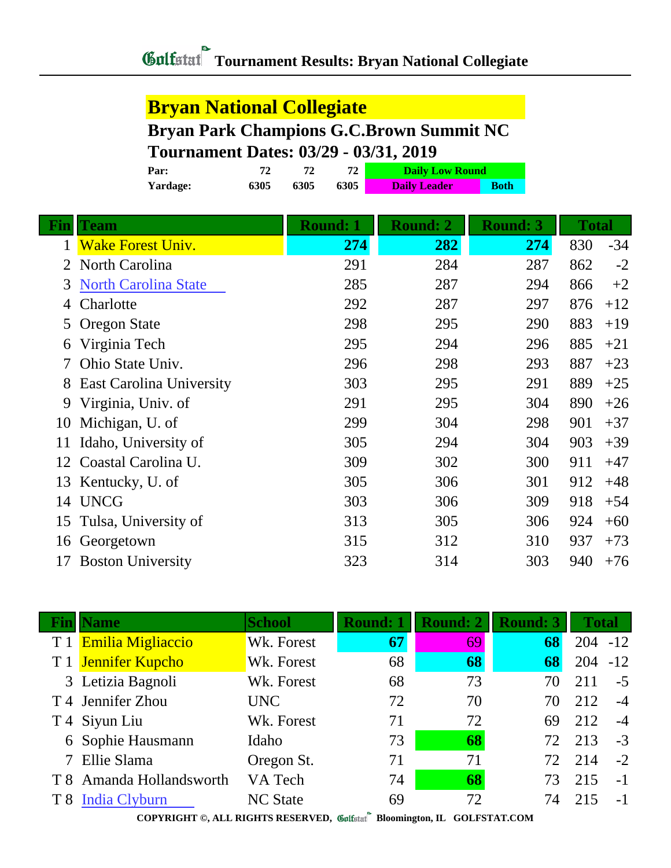## **Tournament Results: Bryan National Collegiate**

## **Bryan National Collegiate**

## **Bryan Park Champions G.C.Brown Summit NC Tournament Dates: 03/29 - 03/31, 2019**

|                | Par:                            | 72   | 72<br>72 |                 | <b>Daily Low Round</b> |                 |     |       |       |
|----------------|---------------------------------|------|----------|-----------------|------------------------|-----------------|-----|-------|-------|
|                | Yardage:                        | 6305 | 6305     | 6305            | <b>Daily Leader</b>    | <b>Both</b>     |     |       |       |
|                |                                 |      |          |                 |                        |                 |     |       |       |
| <u>Fin</u>     | Team                            |      |          | <b>Round: 1</b> | <b>Round: 2</b>        | <b>Round: 3</b> |     | Total |       |
| 1              | <b>Wake Forest Univ.</b>        |      |          | 274             | 282                    |                 | 274 | 830   | $-34$ |
| $\overline{2}$ | North Carolina                  |      |          | 291             | 284                    |                 | 287 | 862   | $-2$  |
| 3              | <b>North Carolina State</b>     |      |          | 285             | 287                    |                 | 294 | 866   | $+2$  |
| 4              | Charlotte                       |      |          | 292             | 287                    |                 | 297 | 876   | $+12$ |
| 5              | <b>Oregon State</b>             |      |          | 298             | 295                    |                 | 290 | 883   | $+19$ |
| 6              | Virginia Tech                   |      |          | 295             | 294                    |                 | 296 | 885   | $+21$ |
| 7              | Ohio State Univ.                |      |          | 296             | 298                    |                 | 293 | 887   | $+23$ |
| 8              | <b>East Carolina University</b> |      |          | 303             | 295                    |                 | 291 | 889   | $+25$ |
| 9              | Virginia, Univ. of              |      |          | 291             | 295                    |                 | 304 | 890   | $+26$ |
| 10             | Michigan, U. of                 |      |          | 299             | 304                    |                 | 298 | 901   | $+37$ |
| 11             | Idaho, University of            |      |          | 305             | 294                    |                 | 304 | 903   | $+39$ |
| 12             | Coastal Carolina U.             |      |          | 309             | 302                    |                 | 300 | 911   | $+47$ |
| 13             | Kentucky, U. of                 |      |          | 305             | 306                    |                 | 301 | 912   | $+48$ |
| 14             | <b>UNCG</b>                     |      |          | 303             | 306                    |                 | 309 | 918   | $+54$ |
| 15             | Tulsa, University of            |      |          | 313             | 305                    |                 | 306 | 924   | $+60$ |
|                | 16 Georgetown                   |      |          | 315             | 312                    |                 | 310 | 937   | $+73$ |
| 17             | <b>Boston University</b>        |      |          | 323             | 314                    |                 | 303 | 940   | $+76$ |
|                |                                 |      |          |                 |                        |                 |     |       |       |

| Fin | <b>Name</b>              | <b>School</b>   | <b>Round: 1</b> | <b>Round: 2</b> | <b>Round: 3</b> | <b>Total</b> |       |
|-----|--------------------------|-----------------|-----------------|-----------------|-----------------|--------------|-------|
|     | T 1 Emilia Migliaccio    | Wk. Forest      | 67              | 69              | 68              | $204 - 12$   |       |
|     | T 1 Jennifer Kupcho      | Wk. Forest      | 68              | 68              | 68              | 204          | $-12$ |
|     | 3 Letizia Bagnoli        | Wk. Forest      | 68              | 73              | 70              | 211          | $-5$  |
|     | T 4 Jennifer Zhou        | <b>UNC</b>      | 72              | 70              | 70              | 212          | $-4$  |
|     | T 4 Siyun Liu            | Wk. Forest      | 71              | 72              | 69              | 212          | $-4$  |
|     | 6 Sophie Hausmann        | Idaho           | 73              | 68              | 72              | 213          | $-3$  |
|     | 7 Ellie Slama            | Oregon St.      | 71              | 71              | 72.             | 214          | $-2$  |
|     | T 8 Amanda Hollandsworth | VA Tech         | 74              | 68              | 73              | 215          | $-1$  |
|     | T 8 India Clyburn        | <b>NC State</b> | 69              | 72              | 74              | 215          | $-1$  |

**COPYRIGHT ©, ALL RIGHTS RESERVED, Bloomington, IL GOLFSTAT.COM**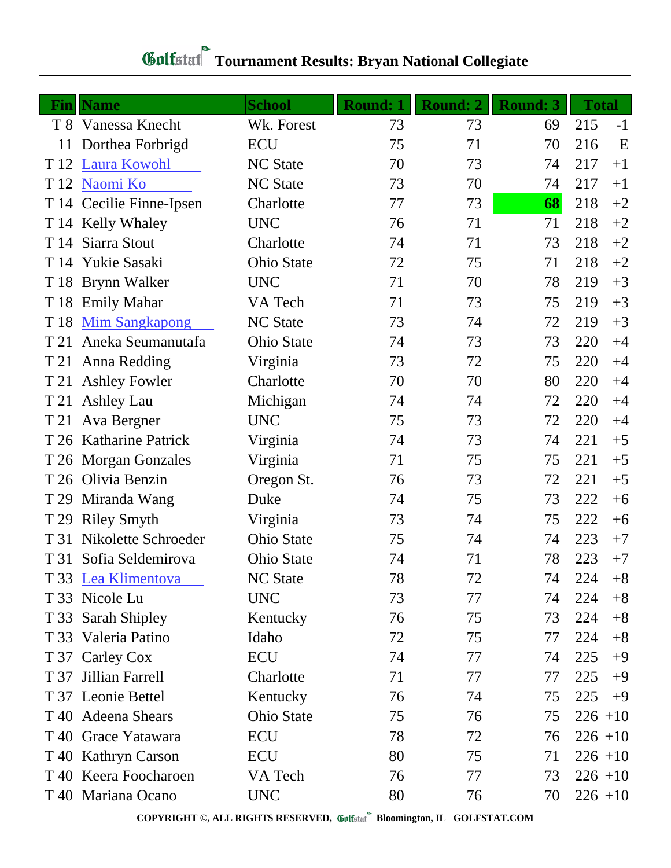| Gulfstat Tournament Results: Bryan National Collegiate |  |
|--------------------------------------------------------|--|

|      | <b>Fin</b>   Name        | <b>School</b>     | <b>Round: 1</b> | <b>Round: 2</b> | <b>Round: 3</b> | <b>Total</b> |
|------|--------------------------|-------------------|-----------------|-----------------|-----------------|--------------|
|      | T 8 Vanessa Knecht       | Wk. Forest        | 73              | 73              | 69              | 215<br>$-1$  |
| 11   | Dorthea Forbrigd         | <b>ECU</b>        | 75              | 71              | 70              | 216<br>E     |
| T 12 | <b>Laura Kowohl</b>      | <b>NC</b> State   | 70              | 73              | 74              | 217<br>$+1$  |
| T 12 | Naomi Ko                 | <b>NC State</b>   | 73              | 70              | 74              | 217<br>$+1$  |
|      | T 14 Cecilie Finne-Ipsen | Charlotte         | 77              | 73              | 68              | 218<br>$+2$  |
|      | T 14 Kelly Whaley        | <b>UNC</b>        | 76              | 71              | 71              | 218<br>$+2$  |
| T 14 | Siarra Stout             | Charlotte         | 74              | 71              | 73              | 218<br>$+2$  |
| T 14 | Yukie Sasaki             | <b>Ohio State</b> | 72              | 75              | 71              | 218<br>$+2$  |
|      | T 18 Brynn Walker        | <b>UNC</b>        | 71              | 70              | 78              | 219<br>$+3$  |
| T 18 | <b>Emily Mahar</b>       | VA Tech           | 71              | 73              | 75              | 219<br>$+3$  |
| T 18 | <b>Mim Sangkapong</b>    | <b>NC</b> State   | 73              | 74              | 72              | 219<br>$+3$  |
| T 21 | Aneka Seumanutafa        | <b>Ohio State</b> | 74              | 73              | 73              | 220<br>$+4$  |
| T 21 | Anna Redding             | Virginia          | 73              | 72              | 75              | 220<br>$+4$  |
| T 21 | <b>Ashley Fowler</b>     | Charlotte         | 70              | 70              | 80              | 220<br>$+4$  |
|      | T 21 Ashley Lau          | Michigan          | 74              | 74              | 72              | 220<br>$+4$  |
| T 21 | Ava Bergner              | <b>UNC</b>        | 75              | 73              | 72              | 220<br>$+4$  |
|      | T 26 Katharine Patrick   | Virginia          | 74              | 73              | 74              | 221<br>$+5$  |
| T 26 | <b>Morgan Gonzales</b>   | Virginia          | 71              | 75              | 75              | 221<br>$+5$  |
| T 26 | Olivia Benzin            | Oregon St.        | 76              | 73              | 72              | 221<br>$+5$  |
| T 29 | Miranda Wang             | Duke              | 74              | 75              | 73              | 222<br>$+6$  |
|      | T 29 Riley Smyth         | Virginia          | 73              | 74              | 75              | 222<br>$+6$  |
| T 31 | Nikolette Schroeder      | Ohio State        | 75              | 74              | 74              | 223<br>$+7$  |
| T 31 | Sofia Seldemirova        | <b>Ohio State</b> | 74              | 71              | 78              | 223<br>$+7$  |
|      | T 33 Lea Klimentova      | <b>NC State</b>   | 78              | 72              | 74              | 224<br>$+8$  |
|      | T 33 Nicole Lu           | <b>UNC</b>        | 73              | 77              | 74              | 224<br>$+8$  |
|      | T 33 Sarah Shipley       | Kentucky          | 76              | 75              | 73              | 224<br>$+8$  |
|      | T 33 Valeria Patino      | Idaho             | 72              | 75              | 77              | 224<br>$+8$  |
|      | T 37 Carley Cox          | <b>ECU</b>        | 74              | 77              | 74              | 225<br>$+9$  |
| T 37 | Jillian Farrell          | Charlotte         | 71              | 77              | 77              | 225<br>$+9$  |
|      | T 37 Leonie Bettel       | Kentucky          | 76              | 74              | 75              | 225<br>$+9$  |
|      | T 40 Adeena Shears       | <b>Ohio State</b> | 75              | 76              | 75              | $226 + 10$   |
|      | T 40 Grace Yatawara      | ECU               | 78              | 72              | 76              | $226 + 10$   |
|      | T 40 Kathryn Carson      | <b>ECU</b>        | 80              | 75              | 71              | $226 + 10$   |
|      | T 40 Keera Foocharoen    | VA Tech           | 76              | 77              | 73              | $226 + 10$   |
|      | T 40 Mariana Ocano       | <b>UNC</b>        | 80              | 76              | 70              | $226 + 10$   |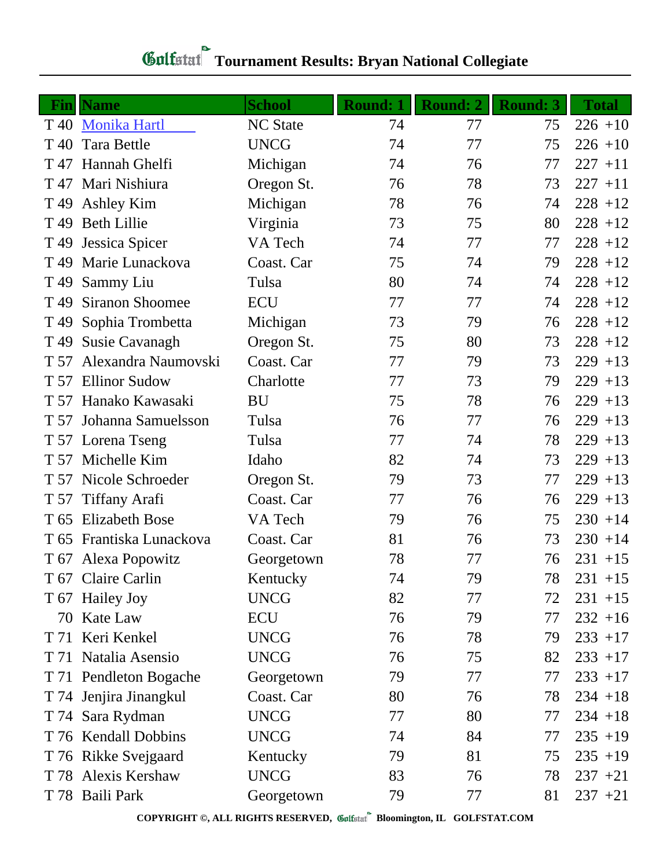|      | <b>Fin</b> Name          | <b>School</b>   | <b>Round: 1</b> | Round: 2 | <b>Round: 3</b> | <b>Total</b> |
|------|--------------------------|-----------------|-----------------|----------|-----------------|--------------|
| T 40 | <b>Monika Hartl</b>      | <b>NC State</b> | 74              | 77       | 75              | $226 + 10$   |
| T 40 | <b>Tara Bettle</b>       | <b>UNCG</b>     | 74              | 77       | 75              | $226 + 10$   |
| T 47 | Hannah Ghelfi            | Michigan        | 74              | 76       | 77              | $227 + 11$   |
|      | T 47 Mari Nishiura       | Oregon St.      | 76              | 78       | 73              | $227 + 11$   |
| T 49 | Ashley Kim               | Michigan        | 78              | 76       | 74              | $228 + 12$   |
|      | T 49 Beth Lillie         | Virginia        | 73              | 75       | 80              | $228 + 12$   |
|      | T 49 Jessica Spicer      | VA Tech         | 74              | 77       | 77              | $228 + 12$   |
|      | T 49 Marie Lunackova     | Coast. Car      | 75              | 74       | 79              | $228 + 12$   |
| T 49 | Sammy Liu                | Tulsa           | 80              | 74       | 74              | $228 + 12$   |
| T 49 | <b>Siranon Shoomee</b>   | <b>ECU</b>      | 77              | 77       | 74              | $228 + 12$   |
| T 49 | Sophia Trombetta         | Michigan        | 73              | 79       | 76              | $228 + 12$   |
|      | T 49 Susie Cavanagh      | Oregon St.      | 75              | 80       | 73              | $228 + 12$   |
|      | T 57 Alexandra Naumovski | Coast. Car      | 77              | 79       | 73              | $229 + 13$   |
|      | T 57 Ellinor Sudow       | Charlotte       | 77              | 73       | 79              | $229 + 13$   |
|      | T 57 Hanako Kawasaki     | <b>BU</b>       | 75              | 78       | 76              | $229 + 13$   |
|      | T 57 Johanna Samuelsson  | Tulsa           | 76              | 77       | 76              | $229 + 13$   |
|      | T 57 Lorena Tseng        | Tulsa           | 77              | 74       | 78              | $229 + 13$   |
|      | T 57 Michelle Kim        | Idaho           | 82              | 74       | 73              | $229 + 13$   |
| T 57 | Nicole Schroeder         | Oregon St.      | 79              | 73       | 77              | $229 + 13$   |
| T 57 | <b>Tiffany Arafi</b>     | Coast. Car      | 77              | 76       | 76              | $229 + 13$   |
| T 65 | <b>Elizabeth Bose</b>    | VA Tech         | 79              | 76       | 75              | $230 + 14$   |
|      | T 65 Frantiska Lunackova | Coast. Car      | 81              | 76       | 73              | $230 + 14$   |
|      | T 67 Alexa Popowitz      | Georgetown      | 78              | 77       | 76              | $231 + 15$   |
|      | T 67 Claire Carlin       | Kentucky        | 74              | 79       | 78              | $231 + 15$   |
|      | T 67 Hailey Joy          | <b>UNCG</b>     | 82              | 77       | 72              | $231 + 15$   |
|      | 70 Kate Law              | ECU             | 76              | 79       | 77              | $232 + 16$   |
|      | T 71 Keri Kenkel         | <b>UNCG</b>     | 76              | 78       | 79              | $233 + 17$   |
|      | T 71 Natalia Asensio     | <b>UNCG</b>     | 76              | 75       | 82              | $233 + 17$   |
|      | T 71 Pendleton Bogache   | Georgetown      | 79              | 77       | 77              | $233 + 17$   |
|      | T 74 Jenjira Jinangkul   | Coast. Car      | 80              | 76       | 78              | $234 + 18$   |
|      | T 74 Sara Rydman         | <b>UNCG</b>     | 77              | 80       | 77              | $234 + 18$   |
|      | T 76 Kendall Dobbins     | <b>UNCG</b>     | 74              | 84       | 77              | $235 + 19$   |
|      | T 76 Rikke Svejgaard     | Kentucky        | 79              | 81       | 75              | $235 + 19$   |
|      | T 78 Alexis Kershaw      | <b>UNCG</b>     | 83              | 76       | 78              | $237 + 21$   |
|      | T 78 Baili Park          | Georgetown      | 79              | 77       | 81              | $237 + 21$   |

**COPYRIGHT ©, ALL RIGHTS RESERVED, Bloomington, IL GOLFSTAT.COM**